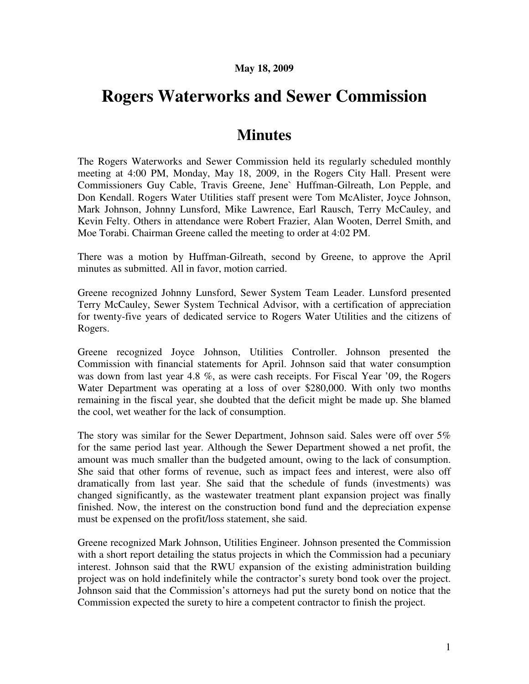## **May 18, 2009**

## **Rogers Waterworks and Sewer Commission**

## **Minutes**

The Rogers Waterworks and Sewer Commission held its regularly scheduled monthly meeting at 4:00 PM, Monday, May 18, 2009, in the Rogers City Hall. Present were Commissioners Guy Cable, Travis Greene, Jene` Huffman-Gilreath, Lon Pepple, and Don Kendall. Rogers Water Utilities staff present were Tom McAlister, Joyce Johnson, Mark Johnson, Johnny Lunsford, Mike Lawrence, Earl Rausch, Terry McCauley, and Kevin Felty. Others in attendance were Robert Frazier, Alan Wooten, Derrel Smith, and Moe Torabi. Chairman Greene called the meeting to order at 4:02 PM.

There was a motion by Huffman-Gilreath, second by Greene, to approve the April minutes as submitted. All in favor, motion carried.

Greene recognized Johnny Lunsford, Sewer System Team Leader. Lunsford presented Terry McCauley, Sewer System Technical Advisor, with a certification of appreciation for twenty-five years of dedicated service to Rogers Water Utilities and the citizens of Rogers.

Greene recognized Joyce Johnson, Utilities Controller. Johnson presented the Commission with financial statements for April. Johnson said that water consumption was down from last year 4.8 %, as were cash receipts. For Fiscal Year '09, the Rogers Water Department was operating at a loss of over \$280,000. With only two months remaining in the fiscal year, she doubted that the deficit might be made up. She blamed the cool, wet weather for the lack of consumption.

The story was similar for the Sewer Department, Johnson said. Sales were off over 5% for the same period last year. Although the Sewer Department showed a net profit, the amount was much smaller than the budgeted amount, owing to the lack of consumption. She said that other forms of revenue, such as impact fees and interest, were also off dramatically from last year. She said that the schedule of funds (investments) was changed significantly, as the wastewater treatment plant expansion project was finally finished. Now, the interest on the construction bond fund and the depreciation expense must be expensed on the profit/loss statement, she said.

Greene recognized Mark Johnson, Utilities Engineer. Johnson presented the Commission with a short report detailing the status projects in which the Commission had a pecuniary interest. Johnson said that the RWU expansion of the existing administration building project was on hold indefinitely while the contractor's surety bond took over the project. Johnson said that the Commission's attorneys had put the surety bond on notice that the Commission expected the surety to hire a competent contractor to finish the project.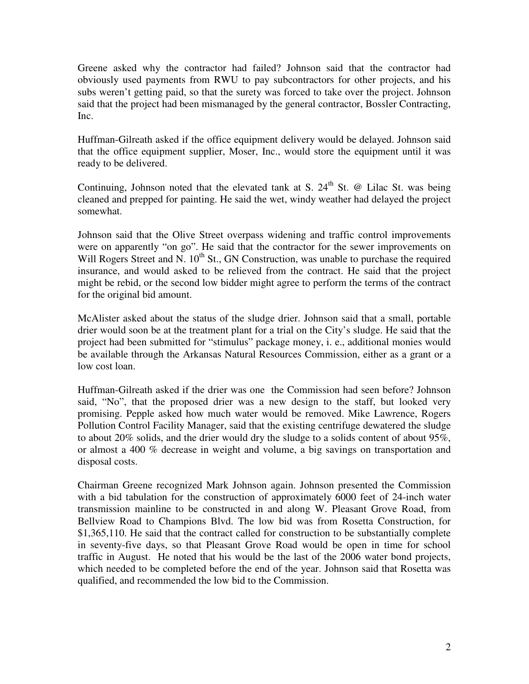Greene asked why the contractor had failed? Johnson said that the contractor had obviously used payments from RWU to pay subcontractors for other projects, and his subs weren't getting paid, so that the surety was forced to take over the project. Johnson said that the project had been mismanaged by the general contractor, Bossler Contracting, Inc.

Huffman-Gilreath asked if the office equipment delivery would be delayed. Johnson said that the office equipment supplier, Moser, Inc., would store the equipment until it was ready to be delivered.

Continuing, Johnson noted that the elevated tank at S.  $24<sup>th</sup>$  St. @ Lilac St. was being cleaned and prepped for painting. He said the wet, windy weather had delayed the project somewhat.

Johnson said that the Olive Street overpass widening and traffic control improvements were on apparently "on go". He said that the contractor for the sewer improvements on Will Rogers Street and N.  $10^{th}$  St., GN Construction, was unable to purchase the required insurance, and would asked to be relieved from the contract. He said that the project might be rebid, or the second low bidder might agree to perform the terms of the contract for the original bid amount.

McAlister asked about the status of the sludge drier. Johnson said that a small, portable drier would soon be at the treatment plant for a trial on the City's sludge. He said that the project had been submitted for "stimulus" package money, i. e., additional monies would be available through the Arkansas Natural Resources Commission, either as a grant or a low cost loan.

Huffman-Gilreath asked if the drier was one the Commission had seen before? Johnson said, "No", that the proposed drier was a new design to the staff, but looked very promising. Pepple asked how much water would be removed. Mike Lawrence, Rogers Pollution Control Facility Manager, said that the existing centrifuge dewatered the sludge to about 20% solids, and the drier would dry the sludge to a solids content of about  $95\%$ . or almost a 400 % decrease in weight and volume, a big savings on transportation and disposal costs.

Chairman Greene recognized Mark Johnson again. Johnson presented the Commission with a bid tabulation for the construction of approximately 6000 feet of 24-inch water transmission mainline to be constructed in and along W. Pleasant Grove Road, from Bellview Road to Champions Blvd. The low bid was from Rosetta Construction, for \$1,365,110. He said that the contract called for construction to be substantially complete in seventy-five days, so that Pleasant Grove Road would be open in time for school traffic in August. He noted that his would be the last of the 2006 water bond projects, which needed to be completed before the end of the year. Johnson said that Rosetta was qualified, and recommended the low bid to the Commission.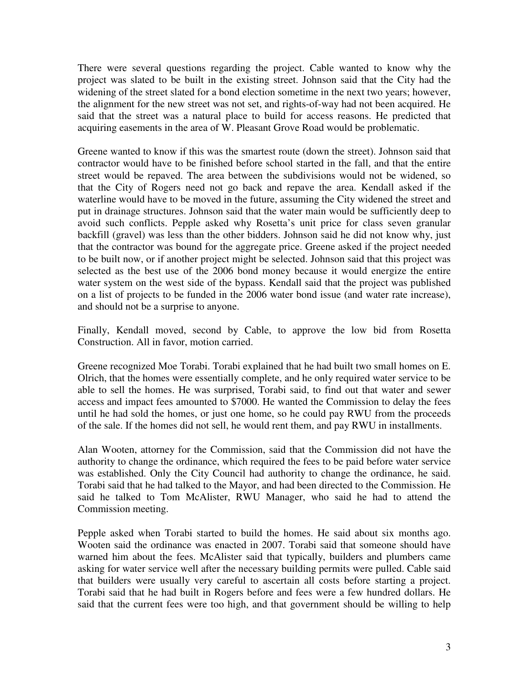There were several questions regarding the project. Cable wanted to know why the project was slated to be built in the existing street. Johnson said that the City had the widening of the street slated for a bond election sometime in the next two years; however, the alignment for the new street was not set, and rights-of-way had not been acquired. He said that the street was a natural place to build for access reasons. He predicted that acquiring easements in the area of W. Pleasant Grove Road would be problematic.

Greene wanted to know if this was the smartest route (down the street). Johnson said that contractor would have to be finished before school started in the fall, and that the entire street would be repaved. The area between the subdivisions would not be widened, so that the City of Rogers need not go back and repave the area. Kendall asked if the waterline would have to be moved in the future, assuming the City widened the street and put in drainage structures. Johnson said that the water main would be sufficiently deep to avoid such conflicts. Pepple asked why Rosetta's unit price for class seven granular backfill (gravel) was less than the other bidders. Johnson said he did not know why, just that the contractor was bound for the aggregate price. Greene asked if the project needed to be built now, or if another project might be selected. Johnson said that this project was selected as the best use of the 2006 bond money because it would energize the entire water system on the west side of the bypass. Kendall said that the project was published on a list of projects to be funded in the 2006 water bond issue (and water rate increase), and should not be a surprise to anyone.

Finally, Kendall moved, second by Cable, to approve the low bid from Rosetta Construction. All in favor, motion carried.

Greene recognized Moe Torabi. Torabi explained that he had built two small homes on E. Olrich, that the homes were essentially complete, and he only required water service to be able to sell the homes. He was surprised, Torabi said, to find out that water and sewer access and impact fees amounted to \$7000. He wanted the Commission to delay the fees until he had sold the homes, or just one home, so he could pay RWU from the proceeds of the sale. If the homes did not sell, he would rent them, and pay RWU in installments.

Alan Wooten, attorney for the Commission, said that the Commission did not have the authority to change the ordinance, which required the fees to be paid before water service was established. Only the City Council had authority to change the ordinance, he said. Torabi said that he had talked to the Mayor, and had been directed to the Commission. He said he talked to Tom McAlister, RWU Manager, who said he had to attend the Commission meeting.

Pepple asked when Torabi started to build the homes. He said about six months ago. Wooten said the ordinance was enacted in 2007. Torabi said that someone should have warned him about the fees. McAlister said that typically, builders and plumbers came asking for water service well after the necessary building permits were pulled. Cable said that builders were usually very careful to ascertain all costs before starting a project. Torabi said that he had built in Rogers before and fees were a few hundred dollars. He said that the current fees were too high, and that government should be willing to help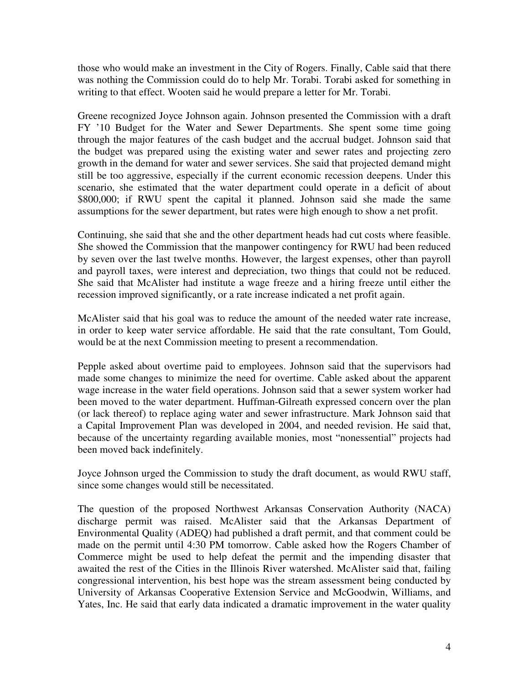those who would make an investment in the City of Rogers. Finally, Cable said that there was nothing the Commission could do to help Mr. Torabi. Torabi asked for something in writing to that effect. Wooten said he would prepare a letter for Mr. Torabi.

Greene recognized Joyce Johnson again. Johnson presented the Commission with a draft FY '10 Budget for the Water and Sewer Departments. She spent some time going through the major features of the cash budget and the accrual budget. Johnson said that the budget was prepared using the existing water and sewer rates and projecting zero growth in the demand for water and sewer services. She said that projected demand might still be too aggressive, especially if the current economic recession deepens. Under this scenario, she estimated that the water department could operate in a deficit of about \$800,000; if RWU spent the capital it planned. Johnson said she made the same assumptions for the sewer department, but rates were high enough to show a net profit.

Continuing, she said that she and the other department heads had cut costs where feasible. She showed the Commission that the manpower contingency for RWU had been reduced by seven over the last twelve months. However, the largest expenses, other than payroll and payroll taxes, were interest and depreciation, two things that could not be reduced. She said that McAlister had institute a wage freeze and a hiring freeze until either the recession improved significantly, or a rate increase indicated a net profit again.

McAlister said that his goal was to reduce the amount of the needed water rate increase, in order to keep water service affordable. He said that the rate consultant, Tom Gould, would be at the next Commission meeting to present a recommendation.

Pepple asked about overtime paid to employees. Johnson said that the supervisors had made some changes to minimize the need for overtime. Cable asked about the apparent wage increase in the water field operations. Johnson said that a sewer system worker had been moved to the water department. Huffman-Gilreath expressed concern over the plan (or lack thereof) to replace aging water and sewer infrastructure. Mark Johnson said that a Capital Improvement Plan was developed in 2004, and needed revision. He said that, because of the uncertainty regarding available monies, most "nonessential" projects had been moved back indefinitely.

Joyce Johnson urged the Commission to study the draft document, as would RWU staff, since some changes would still be necessitated.

The question of the proposed Northwest Arkansas Conservation Authority (NACA) discharge permit was raised. McAlister said that the Arkansas Department of Environmental Quality (ADEQ) had published a draft permit, and that comment could be made on the permit until 4:30 PM tomorrow. Cable asked how the Rogers Chamber of Commerce might be used to help defeat the permit and the impending disaster that awaited the rest of the Cities in the Illinois River watershed. McAlister said that, failing congressional intervention, his best hope was the stream assessment being conducted by University of Arkansas Cooperative Extension Service and McGoodwin, Williams, and Yates, Inc. He said that early data indicated a dramatic improvement in the water quality